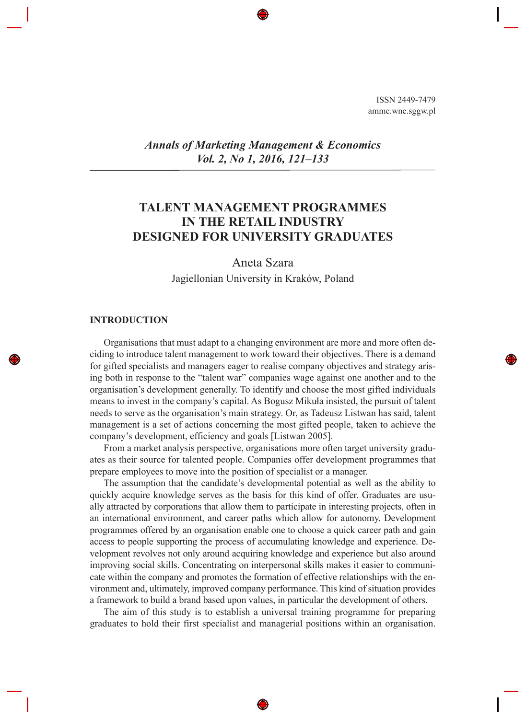ISSN 2449-7479 amme.wne.sggw.pl

## *Annals of Marketing Management & Economics Vol. 2, No 1, 2016, 121–133*

# **TALENT MANAGEMENT PROGRAMMES IN THE RETAIL INDUSTRY DESIGNED FOR UNIVERSITY GRADUATES**

Aneta Szara

Jagiellonian University in Kraków, Poland

#### **INTRODUCTION**

Organisations that must adapt to a changing environment are more and more often deciding to introduce talent management to work toward their objectives. There is a demand for gifted specialists and managers eager to realise company objectives and strategy arising both in response to the "talent war" companies wage against one another and to the organisation's development generally. To identify and choose the most gifted individuals means to invest in the company's capital. As Bogusz Mikuła insisted, the pursuit of talent needs to serve as the organisation's main strategy. Or, as Tadeusz Listwan has said, talent management is a set of actions concerning the most gifted people, taken to achieve the company's development, efficiency and goals [Listwan 2005].

From a market analysis perspective, organisations more often target university graduates as their source for talented people. Companies offer development programmes that prepare employees to move into the position of specialist or a manager.

The assumption that the candidate's developmental potential as well as the ability to quickly acquire knowledge serves as the basis for this kind of offer. Graduates are usually attracted by corporations that allow them to participate in interesting projects, often in an international environment, and career paths which allow for autonomy. Development programmes offered by an organisation enable one to choose a quick career path and gain access to people supporting the process of accumulating knowledge and experience. Development revolves not only around acquiring knowledge and experience but also around improving social skills. Concentrating on interpersonal skills makes it easier to communicate within the company and promotes the formation of effective relationships with the environment and, ultimately, improved company performance. This kind of situation provides a framework to build a brand based upon values, in particular the development of others.

The aim of this study is to establish a universal training programme for preparing graduates to hold their first specialist and managerial positions within an organisation.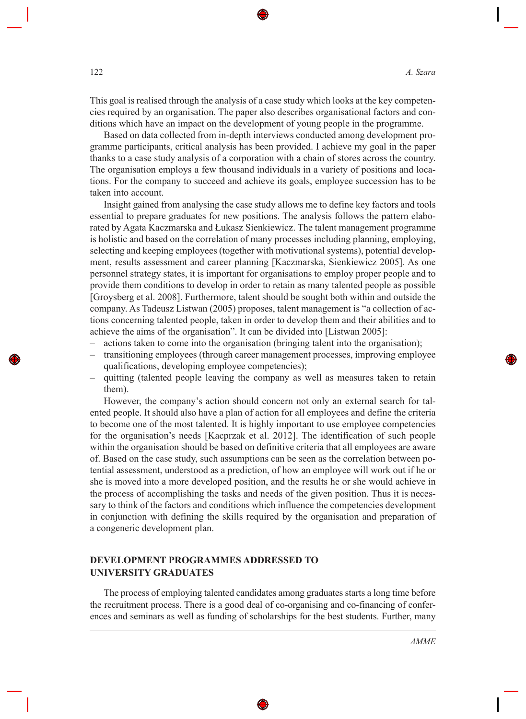*AMME*

This goal is realised through the analysis of a case study which looks at the key competencies required by an organisation. The paper also describes organisational factors and conditions which have an impact on the development of young people in the programme.

Based on data collected from in-depth interviews conducted among development programme participants, critical analysis has been provided. I achieve my goal in the paper thanks to a case study analysis of a corporation with a chain of stores across the country. The organisation employs a few thousand individuals in a variety of positions and locations. For the company to succeed and achieve its goals, employee succession has to be taken into account.

Insight gained from analysing the case study allows me to define key factors and tools essential to prepare graduates for new positions. The analysis follows the pattern elaborated by Agata Kaczmarska and Łukasz Sienkiewicz. The talent management programme is holistic and based on the correlation of many processes including planning, employing, selecting and keeping employees (together with motivational systems), potential development, results assessment and career planning [Kaczmarska, Sienkiewicz 2005]. As one personnel strategy states, it is important for organisations to employ proper people and to provide them conditions to develop in order to retain as many talented people as possible [Groysberg et al. 2008]. Furthermore, talent should be sought both within and outside the company. As Tadeusz Listwan (2005) proposes, talent management is "a collection of actions concerning talented people, taken in order to develop them and their abilities and to achieve the aims of the organisation". It can be divided into [Listwan 2005]:

- actions taken to come into the organisation (bringing talent into the organisation); –
- transitioning employees (through career management processes, improving employee qualifications, developing employee competencies); –
- quitting (talented people leaving the company as well as measures taken to retain them). –

However, the company's action should concern not only an external search for talented people. It should also have a plan of action for all employees and define the criteria to become one of the most talented. It is highly important to use employee competencies for the organisation's needs [Kacprzak et al. 2012]. The identification of such people within the organisation should be based on definitive criteria that all employees are aware of. Based on the case study, such assumptions can be seen as the correlation between potential assessment, understood as a prediction, of how an employee will work out if he or she is moved into a more developed position, and the results he or she would achieve in the process of accomplishing the tasks and needs of the given position. Thus it is necessary to think of the factors and conditions which influence the competencies development in conjunction with defining the skills required by the organisation and preparation of a congeneric development plan.

## **DEVELOPMENT PROGRAMMES ADDRESSED TO UNIVERSITY GRADUATES**

The process of employing talented candidates among graduates starts a long time before the recruitment process. There is a good deal of co-organising and co-financing of conferences and seminars as well as funding of scholarships for the best students. Further, many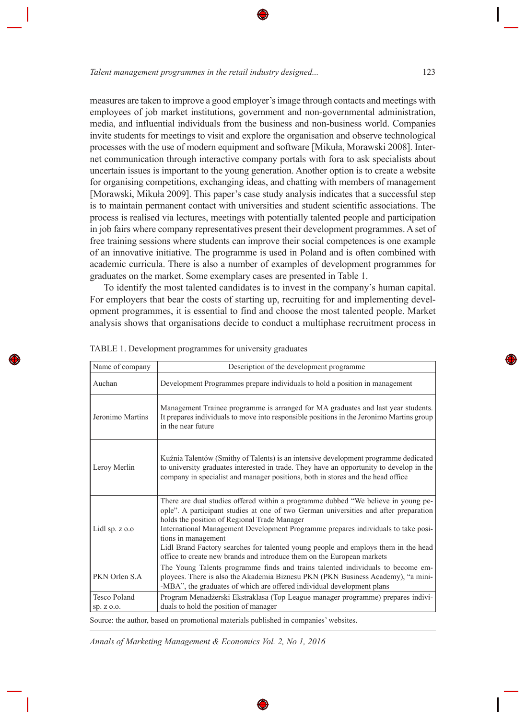measures are taken to improve a good employer's image through contacts and meetings with employees of job market institutions, government and non-governmental administration, media, and influential individuals from the business and non-business world. Companies invite students for meetings to visit and explore the organisation and observe technological processes with the use of modern equipment and software [Mikuła, Morawski 2008]. Internet communication through interactive company portals with fora to ask specialists about uncertain issues is important to the young generation. Another option is to create a website for organising competitions, exchanging ideas, and chatting with members of management [Morawski, Mikuła 2009]. This paper's case study analysis indicates that a successful step is to maintain permanent contact with universities and student scientific associations. The process is realised via lectures, meetings with potentially talented people and participation in job fairs where company representatives present their development programmes. A set of free training sessions where students can improve their social competences is one example of an innovative initiative. The programme is used in Poland and is often combined with academic curricula. There is also a number of examples of development programmes for graduates on the market. Some exemplary cases are presented in Table 1.

To identify the most talented candidates is to invest in the company's human capital. For employers that bear the costs of starting up, recruiting for and implementing development programmes, it is essential to find and choose the most talented people. Market analysis shows that organisations decide to conduct a multiphase recruitment process in

| Name of company                                                                      | Description of the development programme                                                                                                                                                                                                                                                                                                                                                                                                                                                              |  |  |  |  |
|--------------------------------------------------------------------------------------|-------------------------------------------------------------------------------------------------------------------------------------------------------------------------------------------------------------------------------------------------------------------------------------------------------------------------------------------------------------------------------------------------------------------------------------------------------------------------------------------------------|--|--|--|--|
| Auchan                                                                               | Development Programmes prepare individuals to hold a position in management                                                                                                                                                                                                                                                                                                                                                                                                                           |  |  |  |  |
| Jeronimo Martins                                                                     | Management Trainee programme is arranged for MA graduates and last year students.<br>It prepares individuals to move into responsible positions in the Jeronimo Martins group<br>in the near future                                                                                                                                                                                                                                                                                                   |  |  |  |  |
| Leroy Merlin                                                                         | Kuźnia Talentów (Smithy of Talents) is an intensive development programme dedicated<br>to university graduates interested in trade. They have an opportunity to develop in the<br>company in specialist and manager positions, both in stores and the head office                                                                                                                                                                                                                                     |  |  |  |  |
| Lidl sp. $z$ 0.0                                                                     | There are dual studies offered within a programme dubbed "We believe in young pe-<br>ople". A participant studies at one of two German universities and after preparation<br>holds the position of Regional Trade Manager<br>International Management Development Programme prepares individuals to take posi-<br>tions in management<br>Lidl Brand Factory searches for talented young people and employs them in the head<br>office to create new brands and introduce them on the European markets |  |  |  |  |
| PKN Orlen S.A.                                                                       | The Young Talents programme finds and trains talented individuals to become em-<br>ployees. There is also the Akademia Biznesu PKN (PKN Business Academy), "a mini-<br>-MBA", the graduates of which are offered individual development plans                                                                                                                                                                                                                                                         |  |  |  |  |
| Tesco Poland<br>sp. z o.o.                                                           | Program Menadżerski Ekstraklasa (Top League manager programme) prepares indivi-<br>duals to hold the position of manager                                                                                                                                                                                                                                                                                                                                                                              |  |  |  |  |
| Source: the author, based on promotional materials published in companies' websites. |                                                                                                                                                                                                                                                                                                                                                                                                                                                                                                       |  |  |  |  |

TABLE 1. Development programmes for university graduates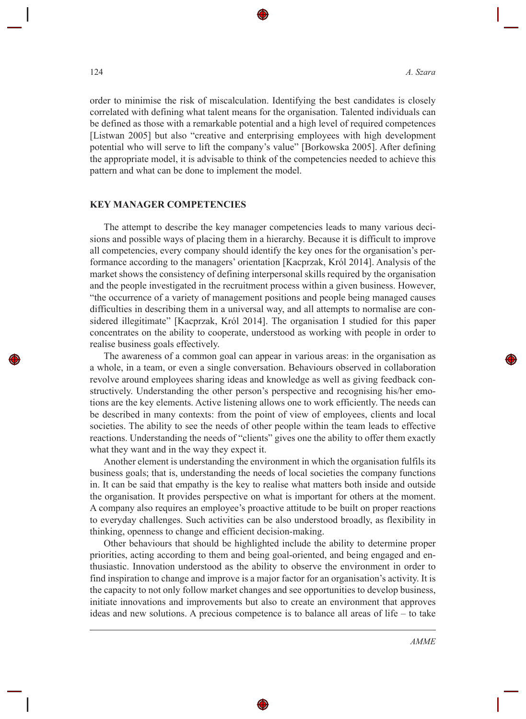order to minimise the risk of miscalculation. Identifying the best candidates is closely correlated with defining what talent means for the organisation. Talented individuals can be defined as those with a remarkable potential and a high level of required competences [Listwan 2005] but also "creative and enterprising employees with high development potential who will serve to lift the company's value" [Borkowska 2005]. After defining the appropriate model, it is advisable to think of the competencies needed to achieve this pattern and what can be done to implement the model.

#### **KEY MANAGER COMPETENCIES**

The attempt to describe the key manager competencies leads to many various decisions and possible ways of placing them in a hierarchy. Because it is difficult to improve all competencies, every company should identify the key ones for the organisation's performance according to the managers' orientation [Kacprzak, Król 2014]. Analysis of the market shows the consistency of defining interpersonal skills required by the organisation and the people investigated in the recruitment process within a given business. However, "the occurrence of a variety of management positions and people being managed causes difficulties in describing them in a universal way, and all attempts to normalise are considered illegitimate" [Kacprzak, Król 2014]. The organisation I studied for this paper concentrates on the ability to cooperate, understood as working with people in order to realise business goals effectively.

The awareness of a common goal can appear in various areas: in the organisation as a whole, in a team, or even a single conversation. Behaviours observed in collaboration revolve around employees sharing ideas and knowledge as well as giving feedback constructively. Understanding the other person's perspective and recognising his/her emotions are the key elements. Active listening allows one to work efficiently. The needs can be described in many contexts: from the point of view of employees, clients and local societies. The ability to see the needs of other people within the team leads to effective reactions. Understanding the needs of "clients" gives one the ability to offer them exactly what they want and in the way they expect it.

Another element is understanding the environment in which the organisation fulfils its business goals; that is, understanding the needs of local societies the company functions in. It can be said that empathy is the key to realise what matters both inside and outside the organisation. It provides perspective on what is important for others at the moment. A company also requires an employee's proactive attitude to be built on proper reactions to everyday challenges. Such activities can be also understood broadly, as flexibility in thinking, openness to change and efficient decision-making.

Other behaviours that should be highlighted include the ability to determine proper priorities, acting according to them and being goal-oriented, and being engaged and enthusiastic. Innovation understood as the ability to observe the environment in order to find inspiration to change and improve is a major factor for an organisation's activity. It is the capacity to not only follow market changes and see opportunities to develop business, initiate innovations and improvements but also to create an environment that approves ideas and new solutions. A precious competence is to balance all areas of life – to take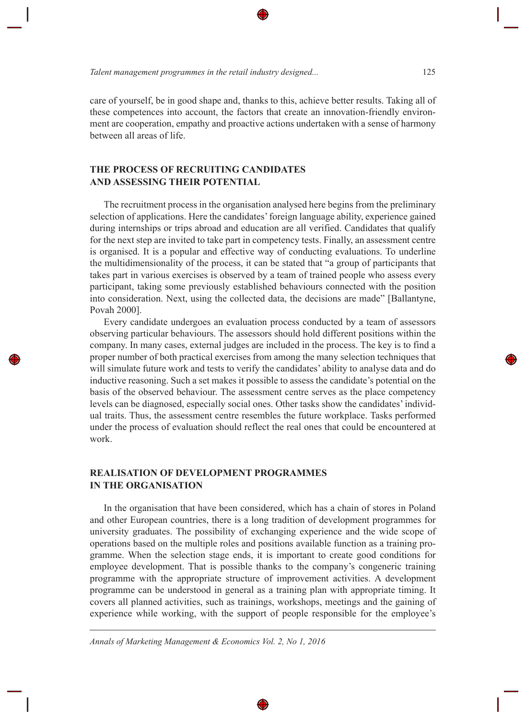care of yourself, be in good shape and, thanks to this, achieve better results. Taking all of these competences into account, the factors that create an innovation-friendly environment are cooperation, empathy and proactive actions undertaken with a sense of harmony between all areas of life.

## **THE PROCESS OF RECRUITING CANDIDATES AND ASSESSING THEIR POTENTIAL**

The recruitment process in the organisation analysed here begins from the preliminary selection of applications. Here the candidates' foreign language ability, experience gained during internships or trips abroad and education are all verified. Candidates that qualify for the next step are invited to take part in competency tests. Finally, an assessment centre is organised. It is a popular and effective way of conducting evaluations. To underline the multidimensionality of the process, it can be stated that "a group of participants that takes part in various exercises is observed by a team of trained people who assess every participant, taking some previously established behaviours connected with the position into consideration. Next, using the collected data, the decisions are made" [Ballantyne, Povah 2000].

Every candidate undergoes an evaluation process conducted by a team of assessors observing particular behaviours. The assessors should hold different positions within the company. In many cases, external judges are included in the process. The key is to find a proper number of both practical exercises from among the many selection techniques that will simulate future work and tests to verify the candidates' ability to analyse data and do inductive reasoning. Such a set makes it possible to assess the candidate's potential on the basis of the observed behaviour. The assessment centre serves as the place competency levels can be diagnosed, especially social ones. Other tasks show the candidates' individual traits. Thus, the assessment centre resembles the future workplace. Tasks performed under the process of evaluation should reflect the real ones that could be encountered at work.

## **REALISATION OF DEVELOPMENT PROGRAMMES IN THE ORGANISATION**

In the organisation that have been considered, which has a chain of stores in Poland and other European countries, there is a long tradition of development programmes for university graduates. The possibility of exchanging experience and the wide scope of operations based on the multiple roles and positions available function as a training programme. When the selection stage ends, it is important to create good conditions for employee development. That is possible thanks to the company's congeneric training programme with the appropriate structure of improvement activities. A development programme can be understood in general as a training plan with appropriate timing. It covers all planned activities, such as trainings, workshops, meetings and the gaining of experience while working, with the support of people responsible for the employee's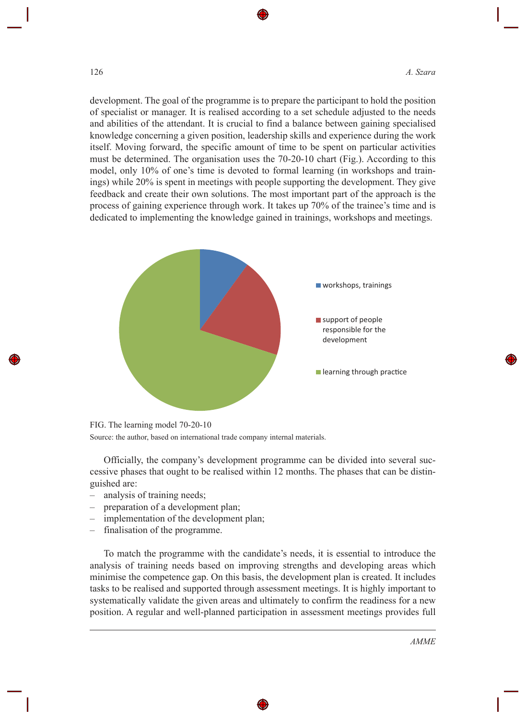126 *A. Szara*

development. The goal of the programme is to prepare the participant to hold the position of specialist or manager. It is realised according to a set schedule adjusted to the needs and abilities of the attendant. It is crucial to find a balance between gaining specialised knowledge concerning a given position, leadership skills and experience during the work itself. Moving forward, the specific amount of time to be spent on particular activities must be determined. The organisation uses the 70-20-10 chart (Fig.). According to this model, only 10% of one's time is devoted to formal learning (in workshops and trainings) while 20% is spent in meetings with people supporting the development. They give feedback and create their own solutions. The most important part of the approach is the process of gaining experience through work. It takes up 70% of the trainee's time and is dedicated to implementing the knowledge gained in trainings, workshops and meetings.



FIG. The learning model 70-20-10

Source: the author, based on international trade company internal materials.

Officially, the company's development programme can be divided into several successive phases that ought to be realised within 12 months. The phases that can be distinguished are:

- analysis of training needs; –
- preparation of a development plan; –
- implementation of the development plan; –
- finalisation of the programme. –

To match the programme with the candidate's needs, it is essential to introduce the analysis of training needs based on improving strengths and developing areas which minimise the competence gap. On this basis, the development plan is created. It includes tasks to be realised and supported through assessment meetings. It is highly important to systematically validate the given areas and ultimately to confirm the readiness for a new position. A regular and well-planned participation in assessment meetings provides full

*AMME*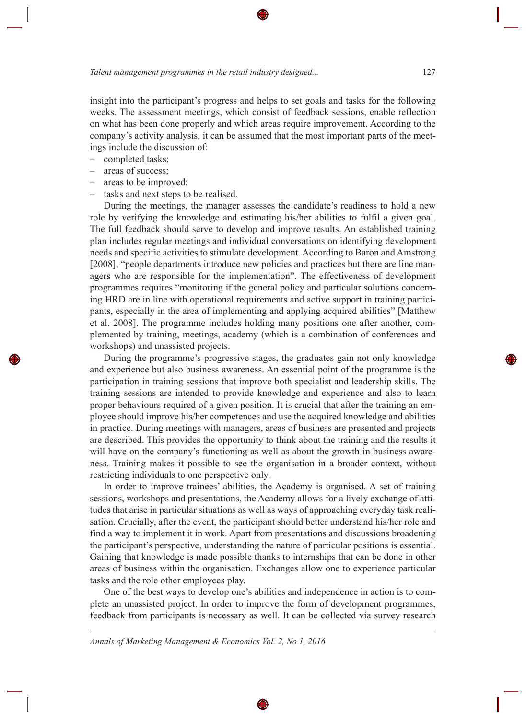insight into the participant's progress and helps to set goals and tasks for the following weeks. The assessment meetings, which consist of feedback sessions, enable reflection on what has been done properly and which areas require improvement. According to the company's activity analysis, it can be assumed that the most important parts of the meetings include the discussion of:

- completed tasks; –
- areas of success; –
- areas to be improved; –
- tasks and next steps to be realised. –

During the meetings, the manager assesses the candidate's readiness to hold a new role by verifying the knowledge and estimating his/her abilities to fulfil a given goal. The full feedback should serve to develop and improve results. An established training plan includes regular meetings and individual conversations on identifying development needs and specific activities to stimulate development. According to Baron and Amstrong [2008], "people departments introduce new policies and practices but there are line managers who are responsible for the implementation". The effectiveness of development programmes requires "monitoring if the general policy and particular solutions concerning HRD are in line with operational requirements and active support in training participants, especially in the area of implementing and applying acquired abilities" [Matthew et al. 2008]. The programme includes holding many positions one after another, complemented by training, meetings, academy (which is a combination of conferences and workshops) and unassisted projects.

During the programme's progressive stages, the graduates gain not only knowledge and experience but also business awareness. An essential point of the programme is the participation in training sessions that improve both specialist and leadership skills. The training sessions are intended to provide knowledge and experience and also to learn proper behaviours required of a given position. It is crucial that after the training an employee should improve his/her competences and use the acquired knowledge and abilities in practice. During meetings with managers, areas of business are presented and projects are described. This provides the opportunity to think about the training and the results it will have on the company's functioning as well as about the growth in business awareness. Training makes it possible to see the organisation in a broader context, without restricting individuals to one perspective only.

In order to improve trainees' abilities, the Academy is organised. A set of training sessions, workshops and presentations, the Academy allows for a lively exchange of attitudes that arise in particular situations as well as ways of approaching everyday task realisation. Crucially, after the event, the participant should better understand his/her role and find a way to implement it in work. Apart from presentations and discussions broadening the participant's perspective, understanding the nature of particular positions is essential. Gaining that knowledge is made possible thanks to internships that can be done in other areas of business within the organisation. Exchanges allow one to experience particular tasks and the role other employees play.

One of the best ways to develop one's abilities and independence in action is to complete an unassisted project. In order to improve the form of development programmes, feedback from participants is necessary as well. It can be collected via survey research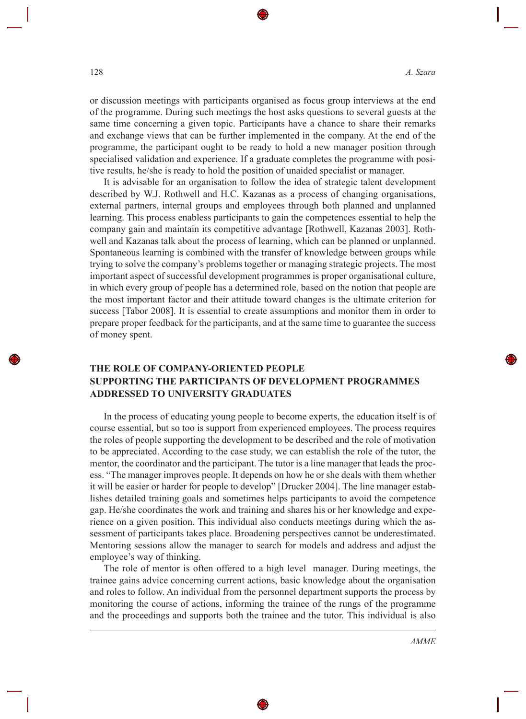or discussion meetings with participants organised as focus group interviews at the end of the programme. During such meetings the host asks questions to several guests at the same time concerning a given topic. Participants have a chance to share their remarks and exchange views that can be further implemented in the company. At the end of the programme, the participant ought to be ready to hold a new manager position through specialised validation and experience. If a graduate completes the programme with positive results, he/she is ready to hold the position of unaided specialist or manager.

It is advisable for an organisation to follow the idea of strategic talent development described by W.J. Rothwell and H.C. Kazanas as a process of changing organisations, external partners, internal groups and employees through both planned and unplanned learning. This process enabless participants to gain the competences essential to help the company gain and maintain its competitive advantage [Rothwell, Kazanas 2003]. Rothwell and Kazanas talk about the process of learning, which can be planned or unplanned. Spontaneous learning is combined with the transfer of knowledge between groups while trying to solve the company's problems together or managing strategic projects. The most important aspect of successful development programmes is proper organisational culture, in which every group of people has a determined role, based on the notion that people are the most important factor and their attitude toward changes is the ultimate criterion for success [Tabor 2008]. It is essential to create assumptions and monitor them in order to prepare proper feedback for the participants, and at the same time to guarantee the success of money spent.

## **THE ROLE OF COMPANY-ORIENTED PEOPLE SUPPORTING THE PARTICIPANTS OF DEVELOPMENT PROGRAMMES ADDRESSED TO UNIVERSITY GRADUATES**

In the process of educating young people to become experts, the education itself is of course essential, but so too is support from experienced employees. The process requires the roles of people supporting the development to be described and the role of motivation to be appreciated. According to the case study, we can establish the role of the tutor, the mentor, the coordinator and the participant. The tutor is a line manager that leads the process. "The manager improves people. It depends on how he or she deals with them whether it will be easier or harder for people to develop" [Drucker 2004]. The line manager establishes detailed training goals and sometimes helps participants to avoid the competence gap. He/she coordinates the work and training and shares his or her knowledge and experience on a given position. This individual also conducts meetings during which the assessment of participants takes place. Broadening perspectives cannot be underestimated. Mentoring sessions allow the manager to search for models and address and adjust the employee's way of thinking.

The role of mentor is often offered to a high level manager. During meetings, the trainee gains advice concerning current actions, basic knowledge about the organisation and roles to follow. An individual from the personnel department supports the process by monitoring the course of actions, informing the trainee of the rungs of the programme and the proceedings and supports both the trainee and the tutor. This individual is also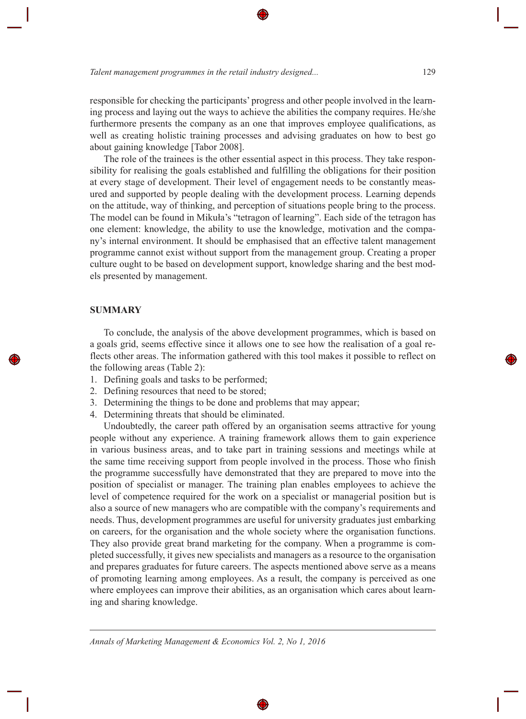responsible for checking the participants' progress and other people involved in the learning process and laying out the ways to achieve the abilities the company requires. He/she furthermore presents the company as an one that improves employee qualifications, as well as creating holistic training processes and advising graduates on how to best go about gaining knowledge [Tabor 2008].

The role of the trainees is the other essential aspect in this process. They take responsibility for realising the goals established and fulfilling the obligations for their position at every stage of development. Their level of engagement needs to be constantly measured and supported by people dealing with the development process. Learning depends on the attitude, way of thinking, and perception of situations people bring to the process. The model can be found in Mikuła's "tetragon of learning". Each side of the tetragon has one element: knowledge, the ability to use the knowledge, motivation and the company's internal environment. It should be emphasised that an effective talent management programme cannot exist without support from the management group. Creating a proper culture ought to be based on development support, knowledge sharing and the best models presented by management.

#### **SUMMARY**

To conclude, the analysis of the above development programmes, which is based on a goals grid, seems effective since it allows one to see how the realisation of a goal reflects other areas. The information gathered with this tool makes it possible to reflect on the following areas (Table 2):

- 1. Defining goals and tasks to be performed;
- 2. Defining resources that need to be stored;
- 3. Determining the things to be done and problems that may appear;
- 4. Determining threats that should be eliminated.

Undoubtedly, the career path offered by an organisation seems attractive for young people without any experience. A training framework allows them to gain experience in various business areas, and to take part in training sessions and meetings while at the same time receiving support from people involved in the process. Those who finish the programme successfully have demonstrated that they are prepared to move into the position of specialist or manager. The training plan enables employees to achieve the level of competence required for the work on a specialist or managerial position but is also a source of new managers who are compatible with the company's requirements and needs. Thus, development programmes are useful for university graduates just embarking on careers, for the organisation and the whole society where the organisation functions. They also provide great brand marketing for the company. When a programme is completed successfully, it gives new specialists and managers as a resource to the organisation and prepares graduates for future careers. The aspects mentioned above serve as a means of promoting learning among employees. As a result, the company is perceived as one where employees can improve their abilities, as an organisation which cares about learning and sharing knowledge.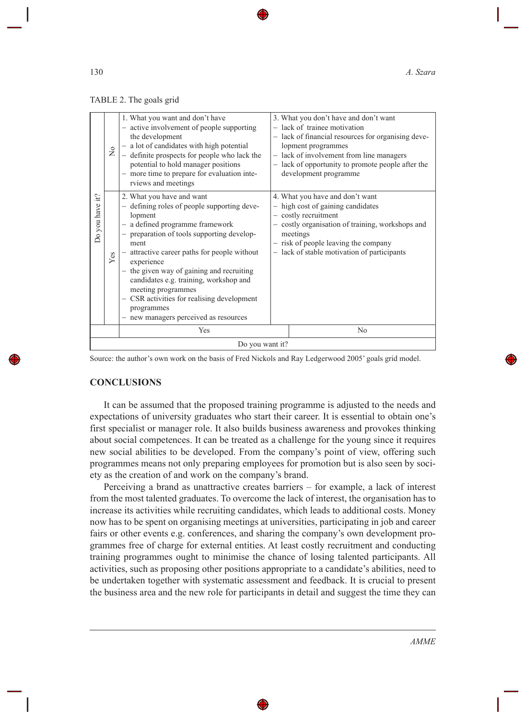130 *A. Szara*

#### TABLE 2. The goals grid

| Do you have it? | $\tilde{z}$     | 1. What you want and don't have<br>- active involvement of people supporting<br>the development<br>- a lot of candidates with high potential<br>- definite prospects for people who lack the<br>potential to hold manager positions<br>- more time to prepare for evaluation inte-<br>rviews and meetings                                                                                                                                                    |  | 3. What you don't have and don't want<br>- lack of trainee motivation<br>- lack of financial resources for organising deve-<br>lopment programmes<br>- lack of involvement from line managers<br>- lack of opportunity to promote people after the<br>development programme |  |  |
|-----------------|-----------------|--------------------------------------------------------------------------------------------------------------------------------------------------------------------------------------------------------------------------------------------------------------------------------------------------------------------------------------------------------------------------------------------------------------------------------------------------------------|--|-----------------------------------------------------------------------------------------------------------------------------------------------------------------------------------------------------------------------------------------------------------------------------|--|--|
|                 | Yes             | 2. What you have and want<br>- defining roles of people supporting deve-<br>lopment<br>- a defined programme framework<br>- preparation of tools supporting develop-<br>ment<br>- attractive career paths for people without<br>experience<br>- the given way of gaining and recruiting<br>candidates e.g. training, workshop and<br>meeting programmes<br>- CSR activities for realising development<br>programmes<br>- new managers perceived as resources |  | 4. What you have and don't want<br>- high cost of gaining candidates<br>- costly recruitment<br>- costly organisation of training, workshops and<br>meetings<br>- risk of people leaving the company<br>- lack of stable motivation of participants                         |  |  |
|                 |                 | Yes                                                                                                                                                                                                                                                                                                                                                                                                                                                          |  | No                                                                                                                                                                                                                                                                          |  |  |
|                 | Do you want it? |                                                                                                                                                                                                                                                                                                                                                                                                                                                              |  |                                                                                                                                                                                                                                                                             |  |  |

Source: the author's own work on the basis of Fred Nickols and Ray Ledgerwood 2005' goals grid model.

## **CONCLUSIONS**

It can be assumed that the proposed training programme is adjusted to the needs and expectations of university graduates who start their career. It is essential to obtain one's first specialist or manager role. It also builds business awareness and provokes thinking about social competences. It can be treated as a challenge for the young since it requires new social abilities to be developed. From the company's point of view, offering such programmes means not only preparing employees for promotion but is also seen by society as the creation of and work on the company's brand.

Perceiving a brand as unattractive creates barriers – for example, a lack of interest from the most talented graduates. To overcome the lack of interest, the organisation has to increase its activities while recruiting candidates, which leads to additional costs. Money now has to be spent on organising meetings at universities, participating in job and career fairs or other events e.g. conferences, and sharing the company's own development programmes free of charge for external entities. At least costly recruitment and conducting training programmes ought to minimise the chance of losing talented participants. All activities, such as proposing other positions appropriate to a candidate's abilities, need to be undertaken together with systematic assessment and feedback. It is crucial to present the business area and the new role for participants in detail and suggest the time they can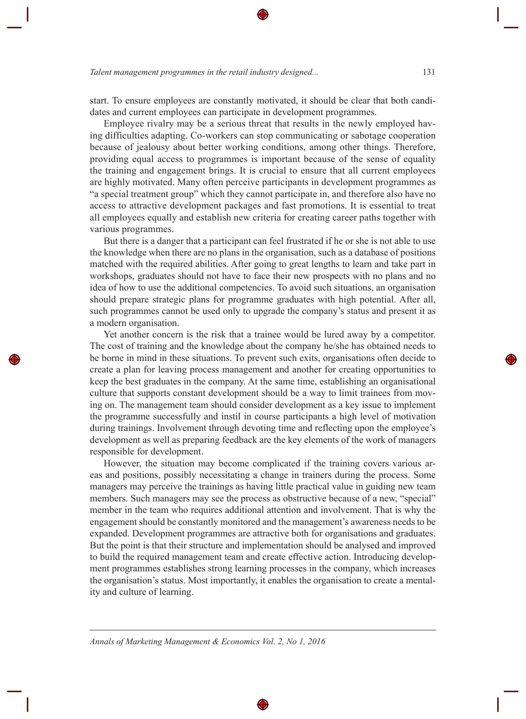start. To ensure employees are constantly motivated, it should be clear that both candidates and current employees can participate in development programmes.

Employee rivalry may be a serious threat that results in the newly employed having difficulties adapting. Co-workers can stop communicating or sabotage cooperation because of jealousy about better working conditions, among other things. Therefore, providing equal access to programmes is important because of the sense of equality the training and engagement brings. It is crucial to ensure that all current employees are highly motivated. Many often perceive participants in development programmes as "a special treatment group" which they cannot participate in, and therefore also have no access to attractive development packages and fast promotions. It is essential to treat all employees equally and establish new criteria for creating career paths together with various programmes.

But there is a danger that a participant can feel frustrated if he or she is not able to use the knowledge when there are no plans in the organisation, such as a database of positions matched with the required abilities. After going to great lengths to learn and take part in workshops, graduates should not have to face their new prospects with no plans and no idea of how to use the additional competencies. To avoid such situations, an organisation should prepare strategic plans for programme graduates with high potential. After all, such programmes cannot be used only to upgrade the company's status and present it as a modern organisation.

Yet another concern is the risk that a trainee would be lured away by a competitor. The cost of training and the knowledge about the company he/she has obtained needs to be borne in mind in these situations. To prevent such exits, organisations often decide to create a plan for leaving process management and another for creating opportunities to keep the best graduates in the company. At the same time, establishing an organisational culture that supports constant development should be a way to limit trainees from moving on. The management team should consider development as a key issue to implement the programme successfully and instil in course participants a high level of motivation during trainings. Involvement through devoting time and reflecting upon the employee's development as well as preparing feedback are the key elements of the work of managers responsible for development.

However, the situation may become complicated if the training covers various areas and positions, possibly necessitating a change in trainers during the process. Some managers may perceive the trainings as having little practical value in guiding new team members. Such managers may see the process as obstructive because of a new, "special" member in the team who requires additional attention and involvement. That is why the engagement should be constantly monitored and the management's awareness needs to be expanded. Development programmes are attractive both for organisations and graduates. But the point is that their structure and implementation should be analysed and improved to build the required management team and create effective action. Introducing development programmes establishes strong learning processes in the company, which increases the organisation's status. Most importantly, it enables the organisation to create a mentality and culture of learning.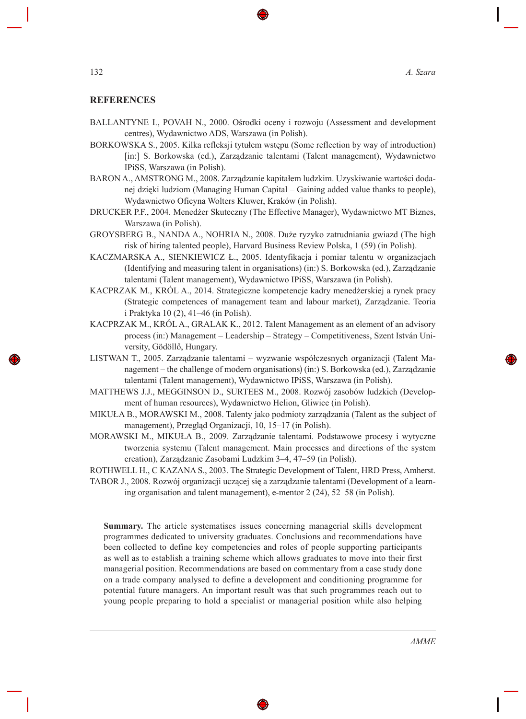#### **REFERENCES**

- BALLANTYNE I., POVAH N., 2000. OĞrodki oceny i rozwoju (Assessment and development centres), Wydawnictwo ADS, Warszawa (in Polish).
- BORKOWSKA S., 2005. Kilka refleksji tytułem wstępu (Some reflection by way of introduction) [in:] S. Borkowska (ed.), Zarządzanie talentami (Talent management), Wydawnictwo IPiSS, Warszawa (in Polish).
- BARON A., AMSTRONG M., 2008. Zarządzanie kapitałem ludzkim. Uzyskiwanie wartości dodanej dzięki ludziom (Managing Human Capital – Gaining added value thanks to people), Wydawnictwo Oficyna Wolters Kluwer, Kraków (in Polish).
- DRUCKER P.F., 2004. Menedżer Skuteczny (The Effective Manager), Wydawnictwo MT Biznes, Warszawa (in Polish).
- GROYSBERG B., NANDA A., NOHRIA N., 2008. Duže ryzyko zatrudniania gwiazd (The high risk of hiring talented people), Harvard Business Review Polska, 1 (59) (in Polish).
- KACZMARSKA A., SIENKIEWICZ Ł., 2005. Identyfikacja i pomiar talentu w organizacjach (Identifying and measuring talent in organisations) (in:) S. Borkowska (ed.), Zarządzanie talentami (Talent management), Wydawnictwo IPiSS, Warszawa (in Polish).
- KACPRZAK M., KRÓL A., 2014. Strategiczne kompetencje kadry menedżerskiej a rynek pracy (Strategic competences of management team and labour market), Zarządzanie. Teoria i Praktyka 10 (2), 41–46 (in Polish).
- KACPRZAK M., KRÓL A., GRALAK K., 2012. Talent Management as an element of an advisory process (in:) Management – Leadership – Strategy – Competitiveness, Szent István University, Gödöllő, Hungary.
- LISTWAN T., 2005. Zarządzanie talentami wyzwanie współczesnych organizacji (Talent Management – the challenge of modern organisations) (in:) S. Borkowska (ed.), Zarządzanie talentami (Talent management), Wydawnictwo IPiSS, Warszawa (in Polish).
- MATTHEWS J.J., MEGGINSON D., SURTEES M., 2008. Rozwój zasobów ludzkich (Development of human resources), Wydawnictwo Helion, Gliwice (in Polish).
- MIKUŁA B., MORAWSKI M., 2008. Talenty jako podmioty zarządzania (Talent as the subject of management), Przegląd Organizacji, 10, 15–17 (in Polish).
- MORAWSKI M., MIKUŁA B., 2009. Zarządzanie talentami. Podstawowe procesy i wytyczne tworzenia systemu (Talent management. Main processes and directions of the system creation), Zarządzanie Zasobami Ludzkim 3–4, 47–59 (in Polish).
- ROTHWELL H., C KAZANA S., 2003. The Strategic Development of Talent, HRD Press, Amherst.
- TABOR J., 2008. Rozwój organizacji uczącej się a zarządzanie talentami (Development of a learning organisation and talent management), e-mentor 2 (24), 52–58 (in Polish).

**Summary.** The article systematises issues concerning managerial skills development programmes dedicated to university graduates. Conclusions and recommendations have been collected to define key competencies and roles of people supporting participants as well as to establish a training scheme which allows graduates to move into their first managerial position. Recommendations are based on commentary from a case study done on a trade company analysed to define a development and conditioning programme for potential future managers. An important result was that such programmes reach out to young people preparing to hold a specialist or managerial position while also helping